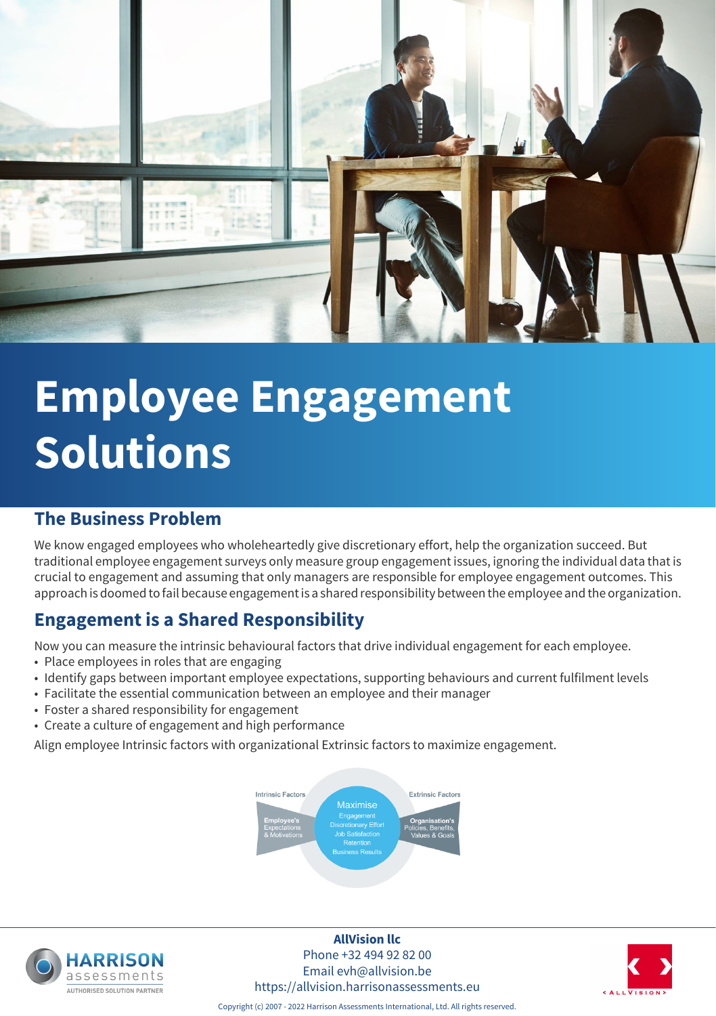

# **Employee Engagement Solutions**

#### **The Business Problem**

We know engaged employees who wholeheartedly give discretionary effort, help the organization succeed. But traditional employee engagement surveys only measure group engagement issues, ignoring the individual data that is crucial to engagement and assuming that only managers are responsible for employee engagement outcomes. This approach is doomed to fail because engagement is a shared responsibility between the employee and the organization.

### **Engagement is a Shared Responsibility**

Now you can measure the intrinsic behavioural factors that drive individual engagement for each employee.

- Place employees in roles that are engaging
- Identify gaps between important employee expectations, supporting behaviours and current fulfilment levels
- Facilitate the essential communication between an employee and their manager
- Foster a shared responsibility for engagement
- Create a culture of engagement and high performance

Align employee Intrinsic factors with organizational Extrinsic factors to maximize engagement.





**AllVision llc** Phone +32 494 92 82 00 Email evh@allvision.be https://allvision.harrisonassessments.eu



Copyright (c) 2007 - 2022 Harrison Assessments International, Ltd. All rights reserved.